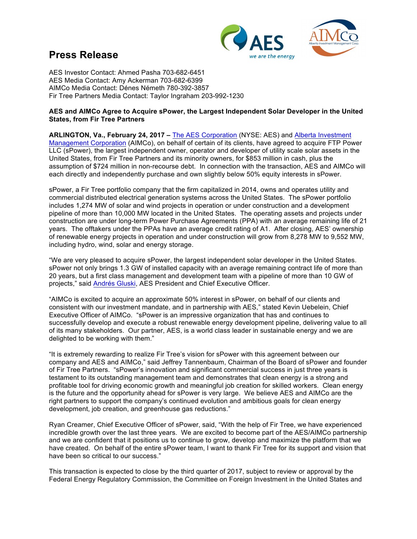

### **Press Release**

AES Investor Contact: Ahmed Pasha 703-682-6451 AES Media Contact: Amy Ackerman 703-682-6399 AIMCo Media Contact: Dénes Németh 780-392-3857 Fir Tree Partners Media Contact: Taylor Ingraham 203-992-1230

#### **AES and AIMCo Agree to Acquire sPower, the Largest Independent Solar Developer in the United States, from Fir Tree Partners**

**ARLINGTON, Va., February 24, 2017 –** The AES Corporation (NYSE: AES) and Alberta Investment Management Corporation (AIMCo), on behalf of certain of its clients, have agreed to acquire FTP Power LLC (sPower), the largest independent owner, operator and developer of utility scale solar assets in the United States, from Fir Tree Partners and its minority owners, for \$853 million in cash, plus the assumption of \$724 million in non-recourse debt. In connection with the transaction, AES and AIMCo will each directly and independently purchase and own slightly below 50% equity interests in sPower.

sPower, a Fir Tree portfolio company that the firm capitalized in 2014, owns and operates utility and commercial distributed electrical generation systems across the United States. The sPower portfolio includes 1,274 MW of solar and wind projects in operation or under construction and a development pipeline of more than 10,000 MW located in the United States. The operating assets and projects under construction are under long-term Power Purchase Agreements (PPA) with an average remaining life of 21 years. The offtakers under the PPAs have an average credit rating of A1. After closing, AES' ownership of renewable energy projects in operation and under construction will grow from 8,278 MW to 9,552 MW, including hydro, wind, solar and energy storage.

"We are very pleased to acquire sPower, the largest independent solar developer in the United States. sPower not only brings 1.3 GW of installed capacity with an average remaining contract life of more than 20 years, but a first class management and development team with a pipeline of more than 10 GW of projects," said Andrés Gluski, AES President and Chief Executive Officer.

"AIMCo is excited to acquire an approximate 50% interest in sPower, on behalf of our clients and consistent with our investment mandate, and in partnership with AES," stated Kevin Uebelein, Chief Executive Officer of AIMCo. "sPower is an impressive organization that has and continues to successfully develop and execute a robust renewable energy development pipeline, delivering value to all of its many stakeholders. Our partner, AES, is a world class leader in sustainable energy and we are delighted to be working with them."

"It is extremely rewarding to realize Fir Tree's vision for sPower with this agreement between our company and AES and AIMCo," said Jeffrey Tannenbaum, Chairman of the Board of sPower and founder of Fir Tree Partners. "sPower's innovation and significant commercial success in just three years is testament to its outstanding management team and demonstrates that clean energy is a strong and profitable tool for driving economic growth and meaningful job creation for skilled workers. Clean energy is the future and the opportunity ahead for sPower is very large. We believe AES and AIMCo are the right partners to support the company's continued evolution and ambitious goals for clean energy development, job creation, and greenhouse gas reductions."

Ryan Creamer, Chief Executive Officer of sPower, said, "With the help of Fir Tree, we have experienced incredible growth over the last three years. We are excited to become part of the AES/AIMCo partnership and we are confident that it positions us to continue to grow, develop and maximize the platform that we have created. On behalf of the entire sPower team, I want to thank Fir Tree for its support and vision that have been so critical to our success."

This transaction is expected to close by the third quarter of 2017, subject to review or approval by the Federal Energy Regulatory Commission, the Committee on Foreign Investment in the United States and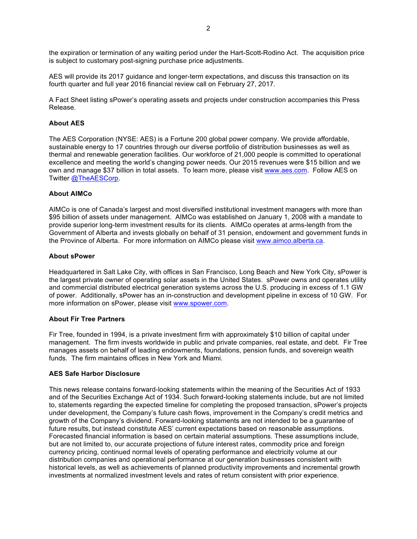the expiration or termination of any waiting period under the Hart-Scott-Rodino Act. The acquisition price is subject to customary post-signing purchase price adjustments.

AES will provide its 2017 guidance and longer-term expectations, and discuss this transaction on its fourth quarter and full year 2016 financial review call on February 27, 2017.

A Fact Sheet listing sPower's operating assets and projects under construction accompanies this Press Release.

#### **About AES**

The AES Corporation (NYSE: AES) is a Fortune 200 global power company. We provide affordable, sustainable energy to 17 countries through our diverse portfolio of distribution businesses as well as thermal and renewable generation facilities. Our workforce of 21,000 people is committed to operational excellence and meeting the world's changing power needs. Our 2015 revenues were \$15 billion and we own and manage \$37 billion in total assets. To learn more, please visit www.aes.com. Follow AES on Twitter @TheAESCorp.

#### **About AIMCo**

AIMCo is one of Canada's largest and most diversified institutional investment managers with more than \$95 billion of assets under management. AIMCo was established on January 1, 2008 with a mandate to provide superior long-term investment results for its clients. AIMCo operates at arms-length from the Government of Alberta and invests globally on behalf of 31 pension, endowment and government funds in the Province of Alberta. For more information on AIMCo please visit www.aimco.alberta.ca.

#### **About sPower**

Headquartered in Salt Lake City, with offices in San Francisco, Long Beach and New York City, sPower is the largest private owner of operating solar assets in the United States. sPower owns and operates utility and commercial distributed electrical generation systems across the U.S. producing in excess of 1.1 GW of power. Additionally, sPower has an in-construction and development pipeline in excess of 10 GW. For more information on sPower, please visit www.spower.com.

#### **About Fir Tree Partners**

Fir Tree, founded in 1994, is a private investment firm with approximately \$10 billion of capital under management. The firm invests worldwide in public and private companies, real estate, and debt. Fir Tree manages assets on behalf of leading endowments, foundations, pension funds, and sovereign wealth funds. The firm maintains offices in New York and Miami.

#### **AES Safe Harbor Disclosure**

This news release contains forward-looking statements within the meaning of the Securities Act of 1933 and of the Securities Exchange Act of 1934. Such forward-looking statements include, but are not limited to, statements regarding the expected timeline for completing the proposed transaction, sPower's projects under development, the Company's future cash flows, improvement in the Company's credit metrics and growth of the Company's dividend. Forward-looking statements are not intended to be a guarantee of future results, but instead constitute AES' current expectations based on reasonable assumptions. Forecasted financial information is based on certain material assumptions. These assumptions include, but are not limited to, our accurate projections of future interest rates, commodity price and foreign currency pricing, continued normal levels of operating performance and electricity volume at our distribution companies and operational performance at our generation businesses consistent with historical levels, as well as achievements of planned productivity improvements and incremental growth investments at normalized investment levels and rates of return consistent with prior experience.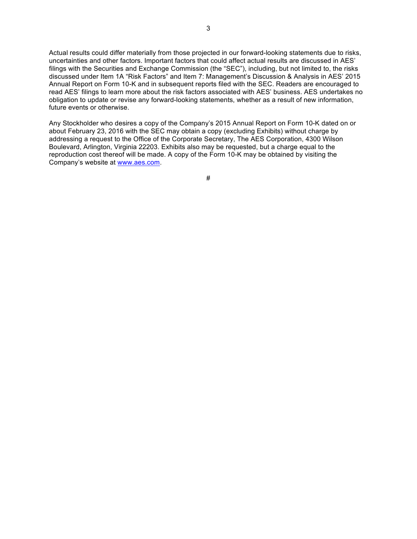Actual results could differ materially from those projected in our forward-looking statements due to risks, uncertainties and other factors. Important factors that could affect actual results are discussed in AES' filings with the Securities and Exchange Commission (the "SEC"), including, but not limited to, the risks discussed under Item 1A "Risk Factors" and Item 7: Management's Discussion & Analysis in AES' 2015 Annual Report on Form 10-K and in subsequent reports filed with the SEC. Readers are encouraged to read AES' filings to learn more about the risk factors associated with AES' business. AES undertakes no obligation to update or revise any forward-looking statements, whether as a result of new information, future events or otherwise.

Any Stockholder who desires a copy of the Company's 2015 Annual Report on Form 10-K dated on or about February 23, 2016 with the SEC may obtain a copy (excluding Exhibits) without charge by addressing a request to the Office of the Corporate Secretary, The AES Corporation, 4300 Wilson Boulevard, Arlington, Virginia 22203. Exhibits also may be requested, but a charge equal to the reproduction cost thereof will be made. A copy of the Form 10-K may be obtained by visiting the Company's website at www.aes.com.

#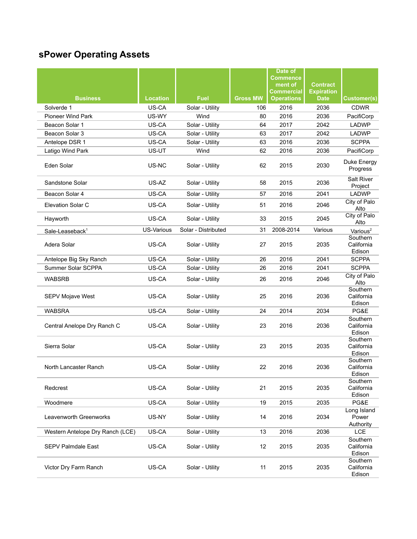### **sPower Operating Assets**

|                                  |                   |                     |                 | Date of<br>Commence |                   |                                   |
|----------------------------------|-------------------|---------------------|-----------------|---------------------|-------------------|-----------------------------------|
|                                  |                   |                     |                 | ment of             | <b>Contract</b>   |                                   |
|                                  |                   |                     |                 | Commercial          | <b>Expiration</b> |                                   |
| <b>Business</b>                  | <b>Location</b>   | <b>Fuel</b>         | <b>Gross MW</b> | <b>Operations</b>   | <b>Date</b>       | Customer(s)                       |
| Solverde 1                       | US-CA             | Solar - Utility     | 106             | 2016                | 2036              | <b>CDWR</b>                       |
| <b>Pioneer Wind Park</b>         | US-WY             | Wind                | 80              | 2016                | 2036              | PacifiCorp                        |
| Beacon Solar 1                   | US-CA             | Solar - Utility     | 64              | 2017                | 2042              | <b>LADWP</b>                      |
| Beacon Solar 3                   | US-CA             | Solar - Utility     | 63              | 2017                | 2042              | <b>LADWP</b>                      |
| Antelope DSR 1                   | US-CA             | Solar - Utility     | 63              | 2016                | 2036              | <b>SCPPA</b>                      |
| Latigo Wind Park                 | US-UT             | Wind                | 62              | 2016                | 2036              | PacifiCorp                        |
| Eden Solar                       | US-NC             | Solar - Utility     | 62              | 2015                | 2030              | Duke Energy<br>Progress           |
| Sandstone Solar                  | US-AZ             | Solar - Utility     | 58              | 2015                | 2036              | <b>Salt River</b><br>Project      |
| Beacon Solar 4                   | US-CA             | Solar - Utility     | 57              | 2016                | 2041              | <b>LADWP</b>                      |
| <b>Elevation Solar C</b>         | US-CA             | Solar - Utility     | 51              | 2016                | 2046              | City of Palo<br>Alto              |
| Hayworth                         | US-CA             | Solar - Utility     | 33              | 2015                | 2045              | City of Palo<br>Alto              |
| Sale-Leaseback <sup>1</sup>      | <b>US-Various</b> | Solar - Distributed | 31              | 2008-2014           | Various           | Various $2$                       |
| Adera Solar                      | US-CA             | Solar - Utility     | 27              | 2015                | 2035              | Southern<br>California<br>Edison  |
| Antelope Big Sky Ranch           | US-CA             | Solar - Utility     | 26              | 2016                | 2041              | <b>SCPPA</b>                      |
| Summer Solar SCPPA               | US-CA             | Solar - Utility     | 26              | 2016                | 2041              | <b>SCPPA</b>                      |
| <b>WABSRB</b>                    | US-CA             | Solar - Utility     | 26              | 2016                | 2046              | City of Palo<br>Alto              |
| SEPV Mojave West                 | US-CA             | Solar - Utility     | 25              | 2016                | 2036              | Southern<br>California<br>Edison  |
| <b>WABSRA</b>                    | US-CA             | Solar - Utility     | 24              | 2014                | 2034              | PG&E                              |
| Central Anelope Dry Ranch C      | US-CA             | Solar - Utility     | 23              | 2016                | 2036              | Southern<br>California<br>Edison  |
| Sierra Solar                     | US-CA             | Solar - Utility     | 23              | 2015                | 2035              | Southern<br>California<br>Edison  |
| North Lancaster Ranch            | US-CA             | Solar - Utility     | 22              | 2016                | 2036              | Southern<br>California<br>Edison  |
| Redcrest                         | US-CA             | Solar - Utility     | 21              | 2015                | 2035              | Southern<br>California<br>Edison  |
| Woodmere                         | US-CA             | Solar - Utility     | 19              | 2015                | 2035              | PG&E                              |
| Leavenworth Greenworks           | US-NY             | Solar - Utility     | 14              | 2016                | 2034              | Long Island<br>Power<br>Authority |
| Western Antelope Dry Ranch (LCE) | US-CA             | Solar - Utility     | 13              | 2016                | 2036              | <b>LCE</b>                        |
| <b>SEPV Palmdale East</b>        | US-CA             | Solar - Utility     | 12              | 2015                | 2035              | Southern<br>California<br>Edison  |
| Victor Dry Farm Ranch            | US-CA             | Solar - Utility     | 11              | 2015                | 2035              | Southern<br>California<br>Edison  |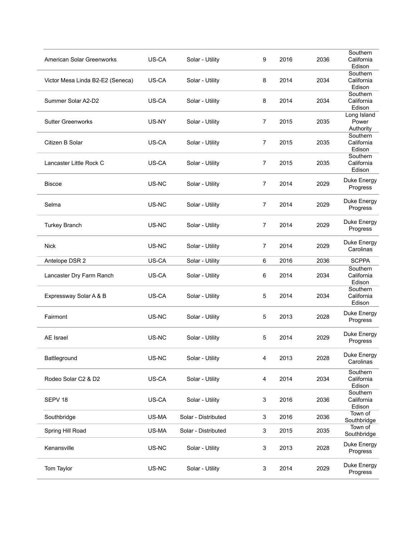| American Solar Greenworks        | US-CA | Solar - Utility     | 9              | 2016 | 2036 | Southern<br>California<br>Edison  |
|----------------------------------|-------|---------------------|----------------|------|------|-----------------------------------|
| Victor Mesa Linda B2-E2 (Seneca) | US-CA | Solar - Utility     | 8              | 2014 | 2034 | Southern<br>California<br>Edison  |
| Summer Solar A2-D2               | US-CA | Solar - Utility     | 8              | 2014 | 2034 | Southern<br>California<br>Edison  |
| <b>Sutter Greenworks</b>         | US-NY | Solar - Utility     | 7              | 2015 | 2035 | Long Island<br>Power<br>Authority |
| Citizen B Solar                  | US-CA | Solar - Utility     | 7              | 2015 | 2035 | Southern<br>California<br>Edison  |
| Lancaster Little Rock C          | US-CA | Solar - Utility     | 7              | 2015 | 2035 | Southern<br>California<br>Edison  |
| <b>Biscoe</b>                    | US-NC | Solar - Utility     | 7              | 2014 | 2029 | Duke Energy<br>Progress           |
| Selma                            | US-NC | Solar - Utility     | $\overline{7}$ | 2014 | 2029 | Duke Energy<br>Progress           |
| <b>Turkey Branch</b>             | US-NC | Solar - Utility     | $\overline{7}$ | 2014 | 2029 | Duke Energy<br>Progress           |
| <b>Nick</b>                      | US-NC | Solar - Utility     | 7              | 2014 | 2029 | Duke Energy<br>Carolinas          |
| Antelope DSR 2                   | US-CA | Solar - Utility     | 6              | 2016 | 2036 | <b>SCPPA</b>                      |
| Lancaster Dry Farm Ranch         | US-CA | Solar - Utility     | 6              | 2014 | 2034 | Southern<br>California<br>Edison  |
| Expressway Solar A & B           | US-CA | Solar - Utility     | 5              | 2014 | 2034 | Southern<br>California<br>Edison  |
| Fairmont                         | US-NC | Solar - Utility     | 5              | 2013 | 2028 | Duke Energy<br>Progress           |
| AE Israel                        | US-NC | Solar - Utility     | 5              | 2014 | 2029 | Duke Energy<br>Progress           |
| Battleground                     | US-NC | Solar - Utility     | 4              | 2013 | 2028 | Duke Energy<br>Carolinas          |
| Rodeo Solar C2 & D2              | US-CA | Solar - Utility     | 4              | 2014 | 2034 | Southern<br>California<br>Edison  |
| SEPV 18                          | US-CA | Solar - Utility     | 3              | 2016 | 2036 | Southern<br>California<br>Edison  |
| Southbridge                      | US-MA | Solar - Distributed | 3              | 2016 | 2036 | Town of<br>Southbridge            |
| Spring Hill Road                 | US-MA | Solar - Distributed | 3              | 2015 | 2035 | Town of<br>Southbridge            |
| Kenansville                      | US-NC | Solar - Utility     | 3              | 2013 | 2028 | Duke Energy<br>Progress           |
| Tom Taylor                       | US-NC | Solar - Utility     | 3              | 2014 | 2029 | Duke Energy<br>Progress           |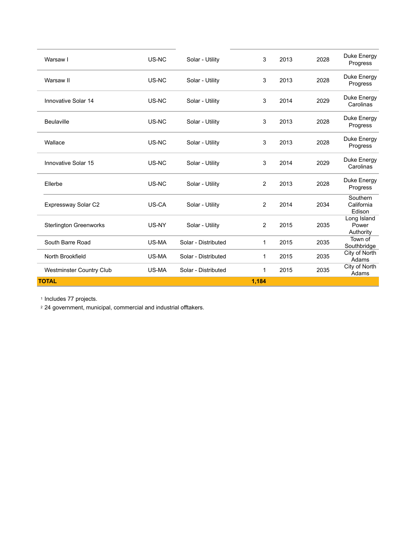| Warsaw I                        | US-NC | Solar - Utility     | 3              | 2013 | 2028 | Duke Energy<br>Progress           |
|---------------------------------|-------|---------------------|----------------|------|------|-----------------------------------|
| Warsaw II                       | US-NC | Solar - Utility     | 3              | 2013 | 2028 | Duke Energy<br>Progress           |
| Innovative Solar 14             | US-NC | Solar - Utility     | 3              | 2014 | 2029 | Duke Energy<br>Carolinas          |
| <b>Beulaville</b>               | US-NC | Solar - Utility     | 3              | 2013 | 2028 | Duke Energy<br>Progress           |
| Wallace                         | US-NC | Solar - Utility     | 3              | 2013 | 2028 | Duke Energy<br>Progress           |
| Innovative Solar 15             | US-NC | Solar - Utility     | 3              | 2014 | 2029 | Duke Energy<br>Carolinas          |
| Ellerbe                         | US-NC | Solar - Utility     | $\overline{2}$ | 2013 | 2028 | Duke Energy<br>Progress           |
| Expressway Solar C2             | US-CA | Solar - Utility     | 2              | 2014 | 2034 | Southern<br>California<br>Edison  |
| <b>Sterlington Greenworks</b>   | US-NY | Solar - Utility     | $\overline{2}$ | 2015 | 2035 | Long Island<br>Power<br>Authority |
| South Barre Road                | US-MA | Solar - Distributed | 1              | 2015 | 2035 | Town of<br>Southbridge            |
| North Brookfield                | US-MA | Solar - Distributed | 1              | 2015 | 2035 | City of North<br>Adams            |
| <b>Westminster Country Club</b> | US-MA | Solar - Distributed | 1              | 2015 | 2035 | City of North<br>Adams            |
| <b>TOTAL</b>                    |       |                     | 1,184          |      |      |                                   |

1 Includes 77 projects.

2 24 government, municipal, commercial and industrial offtakers.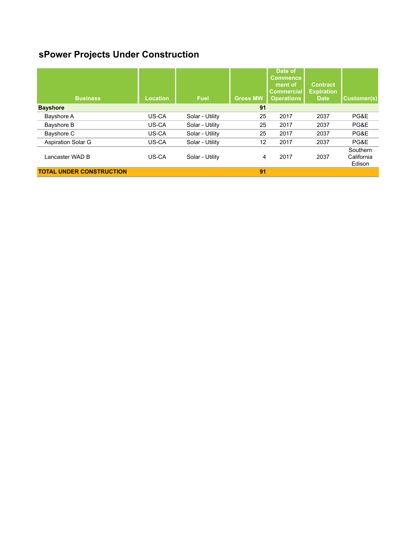## **sPower Projects Under Construction**

| <b>Business</b>                 | <b>Location</b> | <b>Fuel</b>     | <b>Gross MW</b> | Date of<br><b>Commence</b><br>ment of<br><b>Commercial</b><br><b>Operations</b> | <b>Contract</b><br><b>Expiration</b><br><b>Date</b> | <b>Customer(s)</b>               |
|---------------------------------|-----------------|-----------------|-----------------|---------------------------------------------------------------------------------|-----------------------------------------------------|----------------------------------|
| <b>Bayshore</b>                 |                 |                 | 91              |                                                                                 |                                                     |                                  |
| Bayshore A                      | US-CA           | Solar - Utility | 25              | 2017                                                                            | 2037                                                | PG&E                             |
| Bayshore B                      | US-CA           | Solar - Utility | 25              | 2017                                                                            | 2037                                                | PG&E                             |
| Bayshore C                      | US-CA           | Solar - Utility | 25              | 2017                                                                            | 2037                                                | PG&E                             |
| <b>Aspiration Solar G</b>       | US-CA           | Solar - Utility | 12              | 2017                                                                            | 2037                                                | PG&E                             |
| Lancaster WAD B                 | US-CA           | Solar - Utility | 4               | 2017                                                                            | 2037                                                | Southern<br>California<br>Edison |
| <b>TOTAL UNDER CONSTRUCTION</b> |                 |                 | 91              |                                                                                 |                                                     |                                  |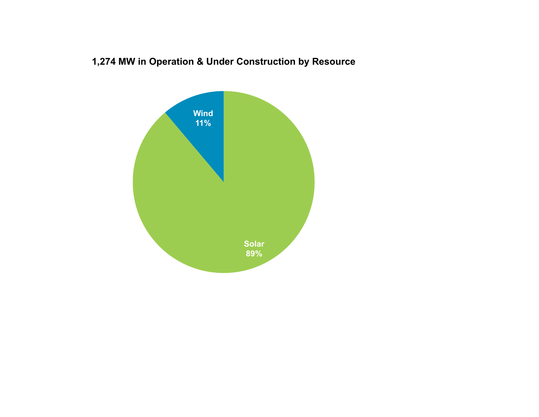### **1,274 MW in Operation & Under Construction by Resource**

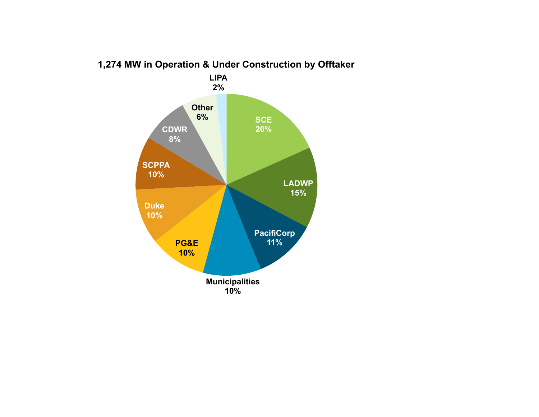

# **1,274 MW in Operation & Under Construction by Offtaker**